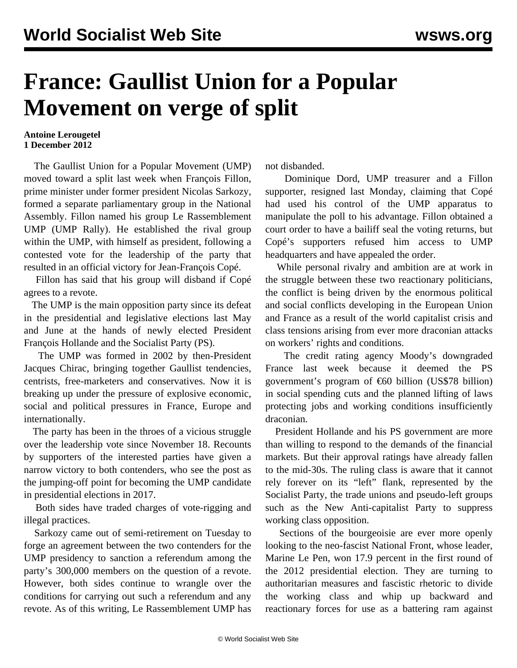## **France: Gaullist Union for a Popular Movement on verge of split**

## **Antoine Lerougetel 1 December 2012**

 The Gaullist Union for a Popular Movement (UMP) moved toward a split last week when François Fillon, prime minister under former president Nicolas Sarkozy, formed a separate parliamentary group in the National Assembly. Fillon named his group Le Rassemblement UMP (UMP Rally). He established the rival group within the UMP, with himself as president, following a contested vote for the leadership of the party that resulted in an official victory for Jean-François Copé.

 Fillon has said that his group will disband if Copé agrees to a revote.

 The UMP is the main opposition party since its defeat in the presidential and legislative elections last May and June at the hands of newly elected President François Hollande and the Socialist Party (PS).

 The UMP was formed in 2002 by then-President Jacques Chirac, bringing together Gaullist tendencies, centrists, free-marketers and conservatives. Now it is breaking up under the pressure of explosive economic, social and political pressures in France, Europe and internationally.

 The party has been in the throes of a vicious struggle over the leadership vote since November 18. Recounts by supporters of the interested parties have given a narrow victory to both contenders, who see the post as the jumping-off point for becoming the UMP candidate in presidential elections in 2017.

 Both sides have traded charges of vote-rigging and illegal practices.

 Sarkozy came out of semi-retirement on Tuesday to forge an agreement between the two contenders for the UMP presidency to sanction a referendum among the party's 300,000 members on the question of a revote. However, both sides continue to wrangle over the conditions for carrying out such a referendum and any revote. As of this writing, Le Rassemblement UMP has not disbanded.

 Dominique Dord, UMP treasurer and a Fillon supporter, resigned last Monday, claiming that Copé had used his control of the UMP apparatus to manipulate the poll to his advantage. Fillon obtained a court order to have a bailiff seal the voting returns, but Copé's supporters refused him access to UMP headquarters and have appealed the order.

 While personal rivalry and ambition are at work in the struggle between these two reactionary politicians, the conflict is being driven by the enormous political and social conflicts developing in the European Union and France as a result of the world capitalist crisis and class tensions arising from ever more draconian attacks on workers' rights and conditions.

 The credit rating agency Moody's downgraded France last week because it deemed the PS government's program of €60 billion (US\$78 billion) in social spending cuts and the planned lifting of laws protecting jobs and working conditions insufficiently draconian.

 President Hollande and his PS government are more than willing to respond to the demands of the financial markets. But their approval ratings have already fallen to the mid-30s. The ruling class is aware that it cannot rely forever on its "left" flank, represented by the Socialist Party, the trade unions and pseudo-left groups such as the New Anti-capitalist Party to suppress working class opposition.

 Sections of the bourgeoisie are ever more openly looking to the neo-fascist National Front, whose leader, Marine Le Pen, won 17.9 percent in the first round of the 2012 presidential election. They are turning to authoritarian measures and fascistic rhetoric to divide the working class and whip up backward and reactionary forces for use as a battering ram against